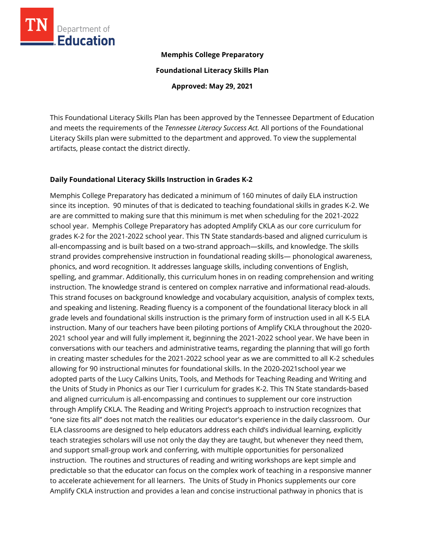

### **Memphis College Preparatory**

**Foundational Literacy Skills Plan**

**Approved: May 29, 2021**

This Foundational Literacy Skills Plan has been approved by the Tennessee Department of Education and meets the requirements of the *Tennessee Literacy Success Act.* All portions of the Foundational Literacy Skills plan were submitted to the department and approved. To view the supplemental artifacts, please contact the district directly.

#### **Daily Foundational Literacy Skills Instruction in Grades K-2**

Memphis College Preparatory has dedicated a minimum of 160 minutes of daily ELA instruction since its inception. 90 minutes of that is dedicated to teaching foundational skills in grades K-2. We are are committed to making sure that this minimum is met when scheduling for the 2021-2022 school year. Memphis College Preparatory has adopted Amplify CKLA as our core curriculum for grades K-2 for the 2021-2022 school year. This TN State standards-based and aligned curriculum is all-encompassing and is built based on a two-strand approach—skills, and knowledge. The skills strand provides comprehensive instruction in foundational reading skills— phonological awareness, phonics, and word recognition. It addresses language skills, including conventions of English, spelling, and grammar. Additionally, this curriculum hones in on reading comprehension and writing instruction. The knowledge strand is centered on complex narrative and informational read-alouds. This strand focuses on background knowledge and vocabulary acquisition, analysis of complex texts, and speaking and listening. Reading fluency is a component of the foundational literacy block in all grade levels and foundational skills instruction is the primary form of instruction used in all K-5 ELA instruction. Many of our teachers have been piloting portions of Amplify CKLA throughout the 2020- 2021 school year and will fully implement it, beginning the 2021-2022 school year. We have been in conversations with our teachers and administrative teams, regarding the planning that will go forth in creating master schedules for the 2021-2022 school year as we are committed to all K-2 schedules allowing for 90 instructional minutes for foundational skills. In the 2020-2021school year we adopted parts of the Lucy Calkins Units, Tools, and Methods for Teaching Reading and Writing and the Units of Study in Phonics as our Tier I curriculum for grades K-2. This TN State standards-based and aligned curriculum is all-encompassing and continues to supplement our core instruction through Amplify CKLA. The Reading and Writing Project's approach to instruction recognizes that "one size fits all" does not match the realities our educator's experience in the daily classroom. Our ELA classrooms are designed to help educators address each child's individual learning, explicitly teach strategies scholars will use not only the day they are taught, but whenever they need them, and support small-group work and conferring, with multiple opportunities for personalized instruction. The routines and structures of reading and writing workshops are kept simple and predictable so that the educator can focus on the complex work of teaching in a responsive manner to accelerate achievement for all learners. The Units of Study in Phonics supplements our core Amplify CKLA instruction and provides a lean and concise instructional pathway in phonics that is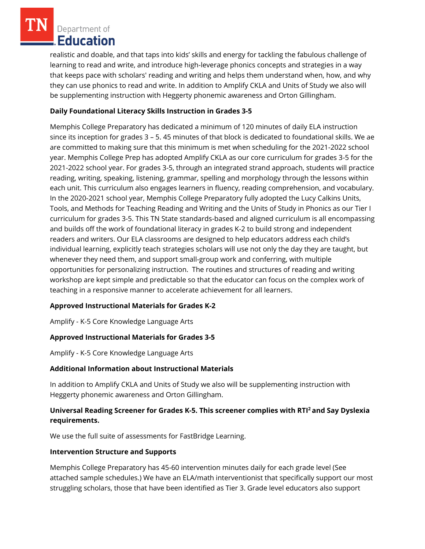Department of Education

realistic and doable, and that taps into kids' skills and energy for tackling the fabulous challenge of learning to read and write, and introduce high-leverage phonics concepts and strategies in a way that keeps pace with scholars' reading and writing and helps them understand when, how, and why they can use phonics to read and write. In addition to Amplify CKLA and Units of Study we also will be supplementing instruction with Heggerty phonemic awareness and Orton Gillingham.

## **Daily Foundational Literacy Skills Instruction in Grades 3-5**

Memphis College Preparatory has dedicated a minimum of 120 minutes of daily ELA instruction since its inception for grades 3 – 5. 45 minutes of that block is dedicated to foundational skills. We ae are committed to making sure that this minimum is met when scheduling for the 2021-2022 school year. Memphis College Prep has adopted Amplify CKLA as our core curriculum for grades 3-5 for the 2021-2022 school year. For grades 3-5, through an integrated strand approach, students will practice reading, writing, speaking, listening, grammar, spelling and morphology through the lessons within each unit. This curriculum also engages learners in fluency, reading comprehension, and vocabulary. In the 2020-2021 school year, Memphis College Preparatory fully adopted the Lucy Calkins Units, Tools, and Methods for Teaching Reading and Writing and the Units of Study in Phonics as our Tier I curriculum for grades 3-5. This TN State standards-based and aligned curriculum is all encompassing and builds off the work of foundational literacy in grades K-2 to build strong and independent readers and writers. Our ELA classrooms are designed to help educators address each child's individual learning, explicitly teach strategies scholars will use not only the day they are taught, but whenever they need them, and support small-group work and conferring, with multiple opportunities for personalizing instruction. The routines and structures of reading and writing workshop are kept simple and predictable so that the educator can focus on the complex work of teaching in a responsive manner to accelerate achievement for all learners.

## **Approved Instructional Materials for Grades K-2**

Amplify - K-5 Core Knowledge Language Arts

### **Approved Instructional Materials for Grades 3-5**

Amplify - K-5 Core Knowledge Language Arts

### **Additional Information about Instructional Materials**

In addition to Amplify CKLA and Units of Study we also will be supplementing instruction with Heggerty phonemic awareness and Orton Gillingham.

# **Universal Reading Screener for Grades K-5. This screener complies with RTI<sup>2</sup>and Say Dyslexia requirements.**

We use the full suite of assessments for FastBridge Learning.

### **Intervention Structure and Supports**

Memphis College Preparatory has 45-60 intervention minutes daily for each grade level (See attached sample schedules.) We have an ELA/math interventionist that specifically support our most struggling scholars, those that have been identified as Tier 3. Grade level educators also support